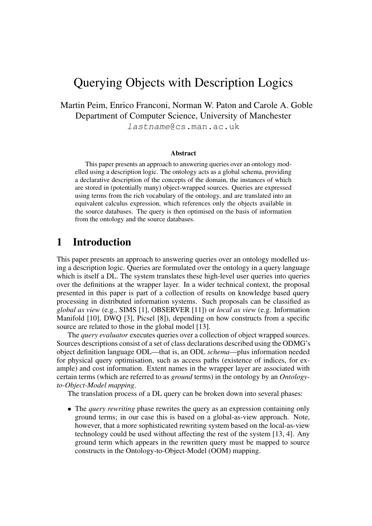# Querying Objects with Description Logics

Martin Peim, Enrico Franconi, Norman W. Paton and Carole A. Goble Department of Computer Science, University of Manchester lastname@cs.man.ac.uk

#### **Abstract**

This paper presents an approach to answering queries over an ontology modelled using a description logic. The ontology acts as a global schema, providing a declarative description of the concepts of the domain, the instances of which are stored in (potentially many) object-wrapped sources. Queries are expressed using terms from the rich vocabulary of the ontology, and are translated into an equivalent calculus expression, which references only the objects available in the source databases. The query is then optimised on the basis of information from the ontology and the source databases.

### **1 Introduction**

This paper presents an approach to answering queries over an ontology modelled using a description logic. Queries are formulated over the ontology in a query language which is itself a DL. The system translates these high-level user queries into queries over the definitions at the wrapper layer. In a wider technical context, the proposal presented in this paper is part of a collection of results on knowledge based query processing in distributed information systems. Such proposals can be classified as *global as view* (e.g., SIMS [1], OBSERVER [11]) or *local as view* (e.g. Information Manifold [10], DWQ [3], Picsel [8]), depending on how constructs from a specific source are related to those in the global model [13].

The *query evaluator* executes queries over a collection of object wrapped sources. Sources descriptions consist of a set of class declarations described using the ODMG's object definition language ODL—that is, an ODL *schema*—plus information needed for physical query optimisation, such as access paths (existence of indices, for example) and cost information. Extent names in the wrapper layer are associated with certain terms (which are referred to as *ground* terms) in the ontology by an *Ontologyto-Object-Model mapping*.

The translation process of a DL query can be broken down into several phases:

• The *query rewriting* phase rewrites the query as an expression containing only ground terms; in our case this is based on a global-as-view approach. Note, however, that a more sophisticated rewriting system based on the local-as-view technology could be used without affecting the rest of the system [13, 4]. Any ground term which appears in the rewritten query must be mapped to source constructs in the Ontology-to-Object-Model (OOM) mapping.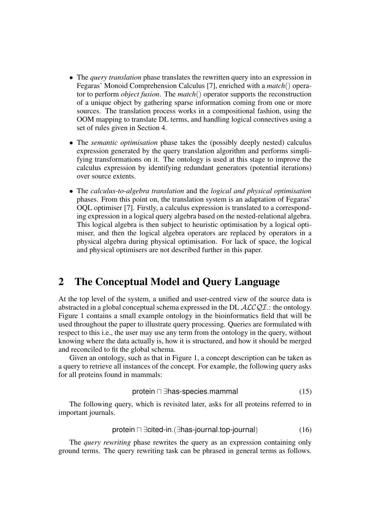- The *query translation* phase translates the rewritten query into an expression in Fegaras' Monoid Comprehension Calculus [7], enriched with a *match*() operator to perform *object fusion*. The *match*() operator supports the reconstruction of a unique object by gathering sparse information coming from one or more sources. The translation process works in a compositional fashion, using the OOM mapping to translate DL terms, and handling logical connectives using a set of rules given in Section 4.
- The *semantic optimisation* phase takes the (possibly deeply nested) calculus expression generated by the query translation algorithm and performs simplifying transformations on it. The ontology is used at this stage to improve the calculus expression by identifying redundant generators (potential iterations) over source extents.
- The *calculus-to-algebra translation* and the *logical and physical optimisation* phases. From this point on, the translation system is an adaptation of Fegaras' OQL optimiser [7]. Firstly, a calculus expression is translated to a corresponding expression in a logical query algebra based on the nested-relational algebra. This logical algebra is then subject to heuristic optimisation by a logical optimiser, and then the logical algebra operators are replaced by operators in a physical algebra during physical optimisation. For lack of space, the logical and physical optimisers are not described further in this paper.

## **2 The Conceptual Model and Query Language**

At the top level of the system, a unified and user-centred view of the source data is abstracted in a global conceptual schema expressed in the DL  $ALCQI$ .: the ontology. Figure 1 contains a small example ontology in the bioinformatics field that will be used throughout the paper to illustrate query processing. Queries are formulated with respect to this i.e., the user may use any term from the ontology in the query, without knowing where the data actually is, how it is structured, and how it should be merged and reconciled to fit the global schema.

Given an ontology, such as that in Figure 1, a concept description can be taken as a query to retrieve all instances of the concept. For example, the following query asks for all proteins found in mammals:

$$
protein \sqcap \exists has\text{-species.mammal} \tag{15}
$$

The following query, which is revisited later, asks for all proteins referred to in important journals.

$$
protein \sqcap \exists cited\text{-}in. (\exists has\text{-}journal.\text{top-}journal) \tag{16}
$$

The *query rewriting* phase rewrites the query as an expression containing only ground terms. The query rewriting task can be phrased in general terms as follows.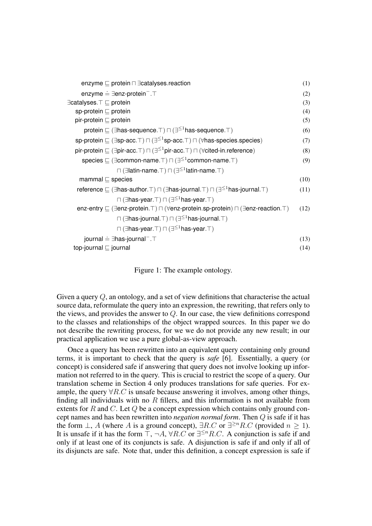| enzyme $\sqsubseteq$ protein $\sqcap \exists$ catalyses reaction                                                                      | (1)  |
|---------------------------------------------------------------------------------------------------------------------------------------|------|
| enzyme $\stackrel{.}{=}$ $\exists$ enz-protein $^-$ . $\top$                                                                          | (2)  |
| $\exists$ catalyses. $\top \sqsubseteq$ protein                                                                                       | (3)  |
| sp-protein $\sqsubseteq$ protein                                                                                                      | (4)  |
| pir-protein $\sqsubseteq$ protein                                                                                                     | (5)  |
| protein $\sqsubseteq$ ( $\exists$ has-sequence. $\top$ ) $\sqcap$ ( $\exists^{\leq 1}$ has-sequence. $\top$ )                         | (6)  |
| sp-protein $\sqsubseteq (\exists$ sp-acc. $\top) \sqcap (\exists^{\leq 1}$ sp-acc. $\top) \sqcap (\forall$ has-species.species)       | (7)  |
| pir-protein $\sqsubseteq (\exists$ pir-acc. $\top) \sqcap (\exists^{\leq 1}$ pir-acc. $\top) \sqcap (\forall$ cited-in. reference)    | (8)  |
| species $\subseteq$ ( $\exists$ common-name. $\top$ ) $\sqcap$ ( $\exists^{\leq 1}$ common-name. $\top$ )                             | (9)  |
| $\Box$ (Elatin-name. $\Box$ ) $\Box$ (Eq. $\Box$ ) at latin-name. $\Box$ )                                                            |      |
| mammal $\sqsubseteq$ species                                                                                                          | (10) |
| reference $\subseteq$ ( $\exists$ has-author. T) $\sqcap$ ( $\exists$ has-journal. T) $\sqcap$ ( $\exists^{\leq 1}$ has-journal. T)   | (11) |
| $\Box$ ( $\exists$ has-year. $\top$ ) $\Box$ ( $\exists^{\leq 1}$ has-year. $\top$ )                                                  |      |
| enz-entry $\sqsubseteq (\exists$ enz-protein. $\top) \sqcap (\forall$ enz-protein.sp-protein) $\sqcap (\exists$ enz-reaction. $\top)$ | (12) |
| $\Box$ ( $\exists$ has-journal. $\top$ ) $\Box$ ( $\exists^{\leq 1}$ has-journal. $\top$ )                                            |      |
| $\Box$ ( $\exists$ has-year. $\top$ ) $\Box$ ( $\exists^{\leq 1}$ has-year. $\top$ )                                                  |      |
| journal $\stackrel{.}{=}$ $\exists$ has-journal <sup>-</sup> . T                                                                      | (13) |
| top-journal $\sqsubseteq$ journal                                                                                                     | (14) |
|                                                                                                                                       |      |

Figure 1: The example ontology.

Given a query Q, an ontology, and a set of view definitions that characterise the actual source data, reformulate the query into an expression, the rewriting, that refers only to the views, and provides the answer to  $Q$ . In our case, the view definitions correspond to the classes and relationships of the object wrapped sources. In this paper we do not describe the rewriting process, for we we do not provide any new result; in our practical application we use a pure global-as-view approach.

Once a query has been rewritten into an equivalent query containing only ground terms, it is important to check that the query is *safe* [6]. Essentially, a query (or concept) is considered safe if answering that query does not involve looking up information not referred to in the query. This is crucial to restrict the scope of a query. Our translation scheme in Section 4 only produces translations for safe queries. For example, the query  $\forall R.C$  is unsafe because answering it involves, among other things, finding all individuals with no  $R$  fillers, and this information is not available from extents for  $R$  and  $C$ . Let  $Q$  be a concept expression which contains only ground concept names and has been rewritten into *negation normal form*. Then Q is safe if it has the form  $\perp$ , A (where A is a ground concept),  $\exists R.C$  or  $\exists^{\geq n} R.C$  (provided  $n \geq 1$ ). It is unsafe if it has the form  $\top$ ,  $\neg A$ ,  $\forall R.C$  or  $\exists^{\leq n} R.C$ . A conjunction is safe if and only if at least one of its conjuncts is safe. A disjunction is safe if and only if all of its disjuncts are safe. Note that, under this definition, a concept expression is safe if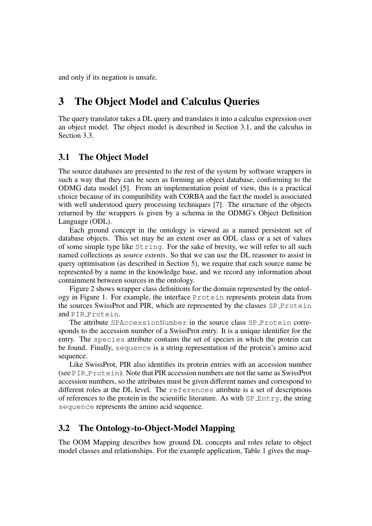and only if its negation is unsafe.

## **3 The Object Model and Calculus Queries**

The query translator takes a DL query and translates it into a calculus expression over an object model. The object model is described in Section 3.1, and the calculus in Section 3.3.

### **3.1 The Object Model**

The source databases are presented to the rest of the system by software wrappers in such a way that they can be seen as forming an object database, conforming to the ODMG data model [5]. From an implementation point of view, this is a practical choice because of its compatibility with CORBA and the fact the model is associated with well understood query processing techniques [7]. The structure of the objects returned by the wrappers is given by a schema in the ODMG's Object Definition Language (ODL).

Each ground concept in the ontology is viewed as a named persistent set of database objects. This set may be an extent over an ODL class or a set of values of some simple type like String. For the sake of brevity, we will refer to all such named collections as *source extents*. So that we can use the DL reasoner to assist in query optimisation (as described in Section 5), we require that each source name be represented by a name in the knowledge base, and we record any information about containment between sources in the ontology.

Figure 2 shows wrapper class definitions for the domain represented by the ontology in Figure 1. For example, the interface Protein represents protein data from the sources SwissProt and PIR, which are represented by the classes SP Protein and PIR Protein.

The attribute SPAccessionNumber in the source class SP Protein corresponds to the accession number of a SwissProt entry. It is a unique identifier for the entry. The species attribute contains the set of species in which the protein can be found. Finally, sequence is a string representation of the protein's amino acid sequence.

Like SwissProt, PIR also identifies its protein entries with an accession number (see  $PIR$ -Protein). Note that PIR accession numbers are not the same as SwissProt accession numbers, so the attributes must be given different names and correspond to different roles at the DL level. The references attribute is a set of descriptions of references to the protein in the scientific literature. As with  $SP_{\text{Entry}}$ , the string sequence represents the amino acid sequence.

### **3.2 The Ontology-to-Object-Model Mapping**

The OOM Mapping describes how ground DL concepts and roles relate to object model classes and relationships. For the example application, Table 1 gives the map-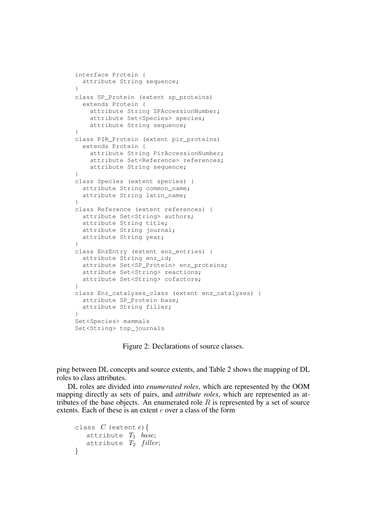```
interface Protein {
  attribute String sequence;
}
class SP_Protein (extent sp_proteins)
  extends Protein {
   attribute String SPAccessionNumber;
    attribute Set<Species> species;
    attribute String sequence;
}
class PIR_Protein (extent pir_proteins)
 extends Protein {
   attribute String PirAccessionNumber;
    attribute Set<Reference> references;
   attribute String sequence;
}
class Species (extent species) {
 attribute String common_name;
  attribute String latin_name;
}
class Reference (extent references) {
 attribute Set<String> authors;
 attribute String title;
 attribute String journal;
 attribute String year;
}
class EnzEntry (extent enz_entries) {
 attribute String enz id:
 attribute Set<SP_Protein> enz_proteins;
 attribute Set<String> reactions;
 attribute Set<String> cofactors;
}
class Enz_catalyses_class (extent enz_catalyses) {
 attribute SP_Protein base;
  attribute String filler;
}
Set<Species> mammals
Set<String> top_journals
```
Figure 2: Declarations of source classes.

ping between DL concepts and source extents, and Table 2 shows the mapping of DL roles to class attributes.

DL roles are divided into *enumerated roles*, which are represented by the OOM mapping directly as sets of pairs, and *attribute roles*, which are represented as attributes of the base objects. An enumerated role  $R$  is represented by a set of source extents. Each of these is an extent e over a class of the form

```
class C (extent e) {
   attribute T_1 base;
   attribute T_2 filler;
}
```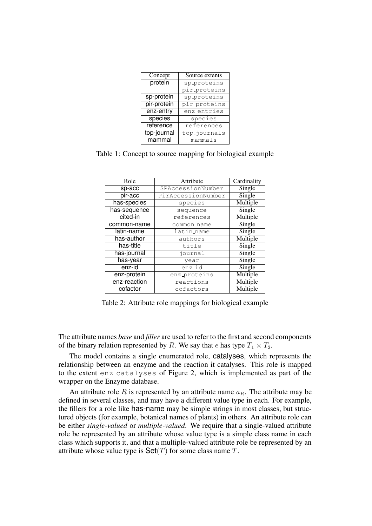| Concept     | Source extents |
|-------------|----------------|
| protein     | sp_proteins    |
|             | pir_proteins   |
| sp-protein  | sp_proteins    |
| pir-protein | pir_proteins   |
| enz-entry   | enz_entries    |
| species     | species        |
| reference   | references     |
| top-journal | top_journals   |
| mammal      | mammals        |

Table 1: Concept to source mapping for biological example

| Role         | Attribute          | Cardinality |
|--------------|--------------------|-------------|
| sp-acc       | SPAccessionNumber  | Single      |
| pir-acc      | PirAccessionNumber | Single      |
| has-species  | species            | Multiple    |
| has-sequence | sequence           | Single      |
| cited-in     | references         | Multiple    |
| common-name  | common name        | Single      |
| latin-name   | latin name         | Single      |
| has-author   | authors            | Multiple    |
| has-title    | title              | Single      |
| has-journal  | journal            | Single      |
| has-year     | year               | Single      |
| enz-id       | enz_id             | Single      |
| enz-protein  | enz_proteins       | Multiple    |
| enz-reaction | reactions          | Multiple    |
| cofactor     | cofactors          | Multiple    |

Table 2: Attribute role mappings for biological example

The attribute names *base* and *filler* are used to refer to the first and second components of the binary relation represented by R. We say that e has type  $T_1 \times T_2$ .

The model contains a single enumerated role, catalyses, which represents the relationship between an enzyme and the reaction it catalyses. This role is mapped to the extent enz catalyses of Figure 2, which is implemented as part of the wrapper on the Enzyme database.

An attribute role R is represented by an attribute name  $a_R$ . The attribute may be defined in several classes, and may have a different value type in each. For example, the fillers for a role like has-name may be simple strings in most classes, but structured objects (for example, botanical names of plants) in others. An attribute role can be either *single-valued* or *multiple-valued*. We require that a single-valued attribute role be represented by an attribute whose value type is a simple class name in each class which supports it, and that a multiple-valued attribute role be represented by an attribute whose value type is  $\text{Set}(T)$  for some class name T.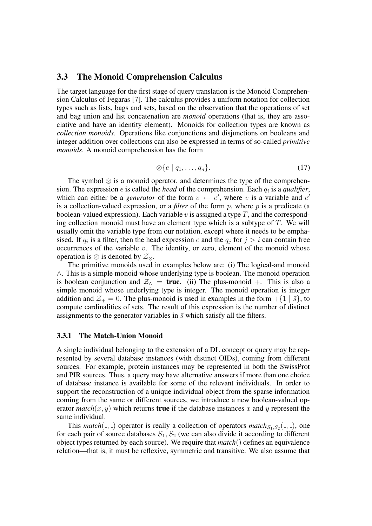#### **3.3 The Monoid Comprehension Calculus**

The target language for the first stage of query translation is the Monoid Comprehension Calculus of Fegaras [7]. The calculus provides a uniform notation for collection types such as lists, bags and sets, based on the observation that the operations of set and bag union and list concatenation are *monoid* operations (that is, they are associative and have an identity element). Monoids for collection types are known as *collection monoids*. Operations like conjunctions and disjunctions on booleans and integer addition over collections can also be expressed in terms of so-called *primitive monoids*. A monoid comprehension has the form

$$
\otimes \{e \mid q_1, \ldots, q_n\}.\tag{17}
$$

The symbol ⊗ is a monoid operator, and determines the type of the comprehension. The expression  $e$  is called the *head* of the comprehension. Each  $q_i$  is a *qualifier*, which can either be a *generator* of the form  $v \leftarrow e'$ , where v is a variable and  $e'$ is a collection-valued expression, or a *filter* of the form  $p$ , where  $p$  is a predicate (a boolean-valued expression). Each variable  $v$  is assigned a type  $T$ , and the corresponding collection monoid must have an element type which is a subtype of  $T$ . We will usually omit the variable type from our notation, except where it needs to be emphasised. If  $q_i$  is a filter, then the head expression e and the  $q_j$  for  $j > i$  can contain free occurrences of the variable  $v$ . The identity, or zero, element of the monoid whose operation is  $\otimes$  is denoted by  $\mathcal{Z}_{\otimes}$ .

The primitive monoids used in examples below are: (i) The logical-and monoid ∧. This is a simple monoid whose underlying type is boolean. The monoid operation is boolean conjunction and  $\mathcal{Z}_{\wedge}$  = **true**. (ii) The plus-monoid +. This is also a simple monoid whose underlying type is integer. The monoid operation is integer addition and  $\mathcal{Z}_+ = 0$ . The plus-monoid is used in examples in the form  $+\{1 \mid \bar{s}\}\$ , to compute cardinalities of sets. The result of this expression is the number of distinct assignments to the generator variables in  $\bar{s}$  which satisfy all the filters.

#### **3.3.1 The Match-Union Monoid**

A single individual belonging to the extension of a DL concept or query may be represented by several database instances (with distinct OIDs), coming from different sources. For example, protein instances may be represented in both the SwissProt and PIR sources. Thus, a query may have alternative answers if more than one choice of database instance is available for some of the relevant individuals. In order to support the reconstruction of a unique individual object from the sparse information coming from the same or different sources, we introduce a new boolean-valued operator *match*(x, y) which returns **true** if the database instances x and y represent the same individual.

This *match*( $\ldots$ ) operator is really a collection of operators *match*<sub>S1</sub>,  $S_2(\ldots)$ , one for each pair of source databases  $S_1, S_2$  (we can also divide it according to different object types returned by each source). We require that *match*() defines an equivalence relation—that is, it must be reflexive, symmetric and transitive. We also assume that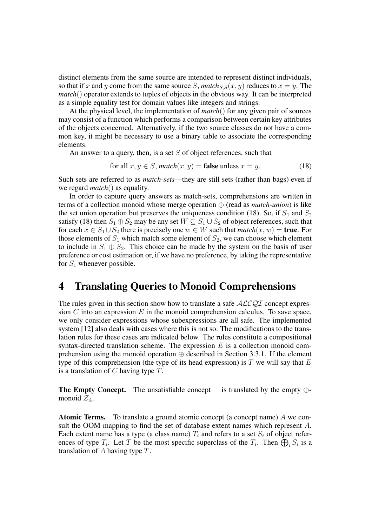distinct elements from the same source are intended to represent distinct individuals, so that if x and y come from the same source S, match<sub>S,S</sub> $(x, y)$  reduces to  $x = y$ . The *match*() operator extends to tuples of objects in the obvious way. It can be interpreted as a simple equality test for domain values like integers and strings.

At the physical level, the implementation of *match*() for any given pair of sources may consist of a function which performs a comparison between certain key attributes of the objects concerned. Alternatively, if the two source classes do not have a common key, it might be necessary to use a binary table to associate the corresponding elements.

An answer to a query, then, is a set  $S$  of object references, such that

for all 
$$
x, y \in S
$$
,  $match(x, y) =$  **false** unless  $x = y$ . (18)

Such sets are referred to as *match-sets*—they are still sets (rather than bags) even if we regard *match*() as equality.

In order to capture query answers as match-sets, comprehensions are written in terms of a collection monoid whose merge operation ⊕ (read as *match-union*) is like the set union operation but preserves the uniqueness condition (18). So, if  $S_1$  and  $S_2$ satisfy (18) then  $S_1 \oplus S_2$  may be any set  $W \subseteq S_1 \cup S_2$  of object references, such that for each  $x \in S_1 \cup S_2$  there is precisely one  $w \in W$  such that  $match(x, w) =$  **true**. For those elements of  $S_1$  which match some element of  $S_2$ , we can choose which element to include in  $S_1 \oplus S_2$ . This choice can be made by the system on the basis of user preference or cost estimation or, if we have no preference, by taking the representative for  $S_1$  whenever possible.

### **4 Translating Queries to Monoid Comprehensions**

The rules given in this section show how to translate a safe  $ALCQI$  concept expression C into an expression E in the monoid comprehension calculus. To save space, we only consider expressions whose subexpressions are all safe. The implemented system [12] also deals with cases where this is not so. The modifications to the translation rules for these cases are indicated below. The rules constitute a compositional syntax-directed translation scheme. The expression  $E$  is a collection monoid comprehension using the monoid operation  $\oplus$  described in Section 3.3.1. If the element type of this comprehension (the type of its head expression) is  $T$  we will say that  $E$ is a translation of  $C$  having type  $T$ .

**The Empty Concept.** The unsatisfiable concept  $\perp$  is translated by the empty  $\oplus$ monoid  $\mathcal{Z}_{\oplus}$ .

**Atomic Terms.** To translate a ground atomic concept (a concept name) A we consult the OOM mapping to find the set of database extent names which represent A. Each extent name has a type (a class name)  $T_i$  and refers to a set  $S_i$  of object references of type  $T_i$ . Let T be the most specific superclass of the  $T_i$ . Then  $\bigoplus_i S_i$  is a translation of A having type T.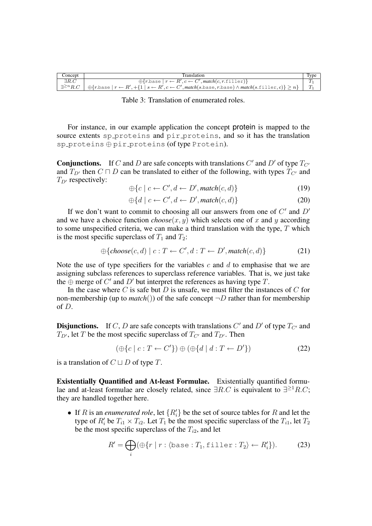| Concept                | Franslation                                                                                                                                                                                  | 'vpe |
|------------------------|----------------------------------------------------------------------------------------------------------------------------------------------------------------------------------------------|------|
| $\exists R.C$          | $\oplus \{r \in \mathbb{R}^r : r \leftarrow R', c \leftarrow C', \mathit{match}(c, r \in \mathbb{N} \cup \mathbb{N})\}$                                                                      |      |
| $\exists^{\geq n} R.C$ | $\{\oplus\{r\} \text{.} \}$ $\pi \leftarrow R', \{\{1\} \mid s \leftarrow R', c \leftarrow C', \text{match}(s.\text{base}, r.\text{base}) \land \text{match}(s.\text{filter}, c)\} \geq n\}$ |      |

Table 3: Translation of enumerated roles.

For instance, in our example application the concept protein is mapped to the source extents sp proteins and pir proteins, and so it has the translation sp\_proteins ⊕ pir\_proteins (of type Protein).

**Conjunctions.** If C and D are safe concepts with translations C' and D' of type  $T_{C}$ and  $T_{D'}$  then  $C \sqcap D$  can be translated to either of the following, with types  $T_{C'}$  and  $T_{D'}$  respectively:

$$
\oplus \{c \mid c \leftarrow C', d \leftarrow D', match(c, d)\}\tag{19}
$$

$$
\oplus \{d \mid c \leftarrow C', d \leftarrow D', match(c, d)\}\tag{20}
$$

If we don't want to commit to choosing all our answers from one of  $C'$  and  $D'$ and we have a choice function  $choose(x, y)$  which selects one of x and y according to some unspecified criteria, we can make a third translation with the type,  $T$  which is the most specific superclass of  $T_1$  and  $T_2$ :

$$
\bigoplus \{choose(c,d) \mid c: T \leftarrow C', d: T \leftarrow D', match(c, d) \}
$$
 (21)

Note the use of type specifiers for the variables  $c$  and  $d$  to emphasise that we are assigning subclass references to superclass reference variables. That is, we just take the  $\oplus$  merge of C' and D' but interpret the references as having type T.

In the case where  $C$  is safe but  $D$  is unsafe, we must filter the instances of  $C$  for non-membership (up to *match*()) of the safe concept  $\neg D$  rather than for membership of D.

**Disjunctions.** If C, D are safe concepts with translations C' and D' of type  $T_{C'}$  and  $T_{D'}$ , let T be the most specific superclass of  $T_{C'}$  and  $T_{D'}$ . Then

$$
(\oplus\{c \mid c : T \leftarrow C'\}) \oplus (\oplus\{d \mid d : T \leftarrow D'\})
$$
\n
$$
(22)
$$

is a translation of  $C \sqcup D$  of type T.

**Existentially Quantified and At-least Formulae.** Existentially quantified formulae and at-least formulae are closely related, since  $\exists R.C$  is equivalent to  $\exists^{\geq 1}R.C;$ they are handled together here.

• If R is an *enumerated role*, let  $\{R'_i\}$  be the set of source tables for R and let the type of  $R_i'$  be  $T_{i1} \times T_{i2}$ . Let  $T_1$  be the most specific superclass of the  $T_{i1}$ , let  $T_2$ be the most specific superclass of the  $T_{i2}$ , and let

$$
R' = \bigoplus_{i} (\bigoplus \{ r \mid r : \langle \text{base} : T_1, \text{filter} : T_2 \rangle \leftarrow R'_i \}). \tag{23}
$$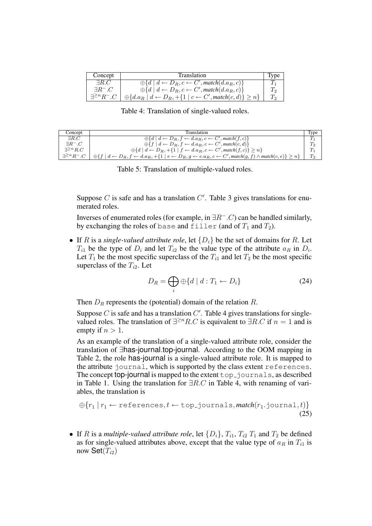| Concept                 | <b>Translation</b>                                                                           | Tvpe |
|-------------------------|----------------------------------------------------------------------------------------------|------|
| $\exists R.C$           | $\oplus \{d \mid d \leftarrow D_R, c \leftarrow C', match(d.a_R, c)\}\$                      |      |
| $\exists R \exists C$   | $\oplus \{d \mid d \leftarrow D_R, c \leftarrow C', match(d.a_R, c)\}\$                      |      |
| $\exists^{\geq n}R^-.C$ | $\bigoplus \{d.a_R \mid d \leftarrow D_R, +\{1 \mid c \leftarrow C', match(c, d)\} \geq n\}$ |      |

Table 4: Translation of single-valued roles.

| Concept                 | Translation                                                                                                                                                       | <b>Type</b> |
|-------------------------|-------------------------------------------------------------------------------------------------------------------------------------------------------------------|-------------|
| $\exists R.C$           | $\bigoplus \{d \mid d \leftarrow D_R, f \leftarrow d.a_R, c \leftarrow C', \text{match}(f, c)\}\$                                                                 |             |
| $\exists R^-.C$         | $\bigoplus \{f \mid d \leftarrow D_R, f \leftarrow d.a_R, c \leftarrow C', match(c, d)\}\$                                                                        | $T_2$       |
| $\exists^{\geq n} R.C$  | $\bigoplus \{d \mid d \leftarrow D_R, +\{1 \mid f \leftarrow d.a_R, c \leftarrow C', \text{match}(f, c)\} \geq n\}$                                               | $T_1$       |
| $\exists^{\geq n}R^-.C$ | $\oplus \{f \mid d \leftarrow D_R, f \leftarrow d.a_R, +\{1 \mid e \leftarrow D_R, g \leftarrow e.a_R, c \leftarrow C', match(g, f) \land match(c, e)\} \geq n\}$ | $T_2$       |

Table 5: Translation of multiple-valued roles.

Suppose  $C$  is safe and has a translation  $C'$ . Table 3 gives translations for enumerated roles.

Inverses of enumerated roles (for example, in  $\exists R^- . C$ ) can be handled similarly, by exchanging the roles of base and filler (and of  $T_1$  and  $T_2$ ).

• If R is a *single-valued attribute role*, let  $\{D_i\}$  be the set of domains for R. Let  $T_{i1}$  be the type of  $D_i$  and let  $T_{i2}$  be the value type of the attribute  $a_R$  in  $D_i$ . Let  $T_1$  be the most specific superclass of the  $T_{i1}$  and let  $T_2$  be the most specific superclass of the  $T_{i2}$ . Let

$$
D_R = \bigoplus_i \oplus \{d \mid d : T_1 \leftarrow D_i\} \tag{24}
$$

Then  $D_R$  represents the (potential) domain of the relation R.

Suppose  $C$  is safe and has a translation  $C'$ . Table 4 gives translations for singlevalued roles. The translation of  $\exists^{\geq n} R.C$  is equivalent to  $\exists R.C$  if  $n = 1$  and is empty if  $n > 1$ .

As an example of the translation of a single-valued attribute role, consider the translation of ∃has-journal.top-journal. According to the OOM mapping in Table 2, the role has-journal is a single-valued attribute role. It is mapped to the attribute journal, which is supported by the class extent references. The concept top-journal is mapped to the extent  $top$ -journals, as described in Table 1. Using the translation for  $\exists R.C$  in Table 4, with renaming of variables, the translation is

$$
\bigoplus \{r_1 \mid r_1 \leftarrow \text{references}, t \leftarrow \text{top-journals}, \text{match}(r_1 \text{.journal}, t)\}\tag{25}
$$

• If R is a *multiple-valued attribute role*, let  $\{D_i\}$ ,  $T_{i1}$ ,  $T_{i2}$ ,  $T_1$  and  $T_2$  be defined as for single-valued attributes above, except that the value type of  $a_R$  in  $T_{i1}$  is now  $\mathsf{Set}(T_{i2})$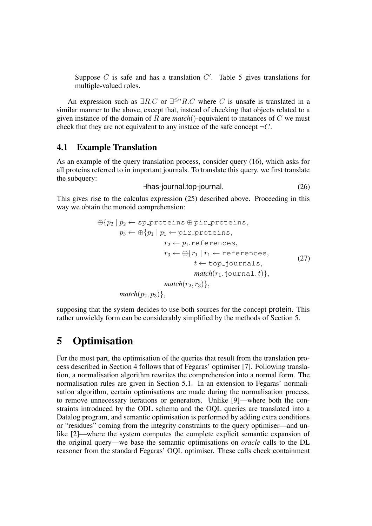Suppose  $C$  is safe and has a translation  $C'$ . Table 5 gives translations for multiple-valued roles.

An expression such as  $\exists R.C$  or  $\exists^{\leq n} R.C$  where C is unsafe is translated in a similar manner to the above, except that, instead of checking that objects related to a given instance of the domain of R are *match*()-equivalent to instances of C we must check that they are not equivalent to any instace of the safe concept  $\neg C$ .

#### **4.1 Example Translation**

As an example of the query translation process, consider query (16), which asks for all proteins referred to in important journals. To translate this query, we first translate the subquery:

$$
\exists \text{has-journal.top-journal.} \tag{26}
$$

This gives rise to the calculus expression (25) described above. Proceeding in this way we obtain the monoid comprehension:

$$
\bigoplus \{p_2 \mid p_2 \leftarrow \text{sp-proteins} \oplus \text{pir-proteins},
$$
\n
$$
p_3 \leftarrow \bigoplus \{p_1 \mid p_1 \leftarrow \text{pir-proteins},
$$
\n
$$
r_2 \leftarrow p_1 \text{.references},
$$
\n
$$
r_3 \leftarrow \bigoplus \{r_1 \mid r_1 \leftarrow \text{references},
$$
\n
$$
t \leftarrow \text{top-journals},
$$
\n
$$
match(r_1 \text{.journal}, t)\},
$$
\n
$$
match(p_2, p_3)\},
$$
\n
$$
\text{match}(p_2, p_3)\},
$$

supposing that the system decides to use both sources for the concept protein. This rather unwieldy form can be considerably simplified by the methods of Section 5.

## **5 Optimisation**

For the most part, the optimisation of the queries that result from the translation process described in Section 4 follows that of Fegaras' optimiser [7]. Following translation, a normalisation algorithm rewrites the comprehension into a normal form. The normalisation rules are given in Section 5.1. In an extension to Fegaras' normalisation algorithm, certain optimisations are made during the normalisation process, to remove unnecessary iterations or generators. Unlike [9]—where both the constraints introduced by the ODL schema and the OQL queries are translated into a Datalog program, and semantic optimisation is performed by adding extra conditions or "residues" coming from the integrity constraints to the query optimiser—and unlike [2]—where the system computes the complete explicit semantic expansion of the original query—we base the semantic optimisations on *oracle* calls to the DL reasoner from the standard Fegaras' OQL optimiser. These calls check containment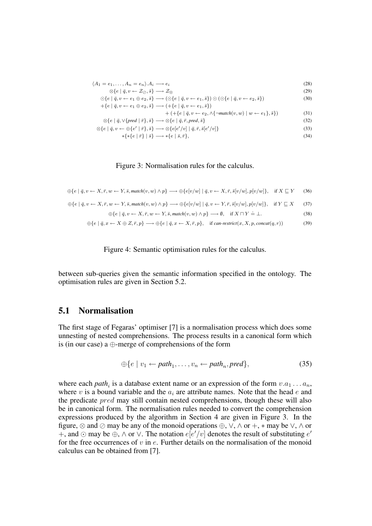$$
\langle A_1 = e_1, \dots, A_n = e_n \rangle A_i \longrightarrow e_i
$$
\n
$$
\otimes \{e \mid \bar{q}, v \leftarrow \mathcal{Z}_{\oslash}, \bar{s} \} \longrightarrow \mathcal{Z}_{\oslash}
$$
\n
$$
\odot \{e \mid \bar{q}, v \leftarrow e_1 \oplus e_2, \bar{s} \} \longrightarrow (\odot \{e \mid \bar{q}, v \leftarrow e_1, \bar{s} \}) \odot (\odot \{e \mid \bar{q}, v \leftarrow e_2, \bar{s} \})
$$
\n
$$
+ \{e \mid \bar{q}, v \leftarrow e_1 \oplus e_2, \bar{s} \} \longrightarrow (+ \{e \mid \bar{q}, v \leftarrow e_1, \bar{s} \})
$$
\n(30)

$$
+ \left( + \{ e \mid \bar{q}, v \leftarrow e_2, \land \{ \neg \textit{match}(v, w) \mid w \leftarrow e_1 \}, \bar{s} \} \right) \tag{31}
$$

$$
\otimes \{e \mid \bar{q}, \vee \{pred \mid \bar{r}\}, \bar{s}\} \longrightarrow \otimes \{e \mid \bar{q}, \bar{r}, pred, \bar{s}\}\n\n\otimes \{e \mid \bar{q}, v \leftarrow \oplus \{e' \mid \bar{r}\}, \bar{s}\} \longrightarrow \otimes \{e \mid e'/v \mid \bar{q}, \bar{r}, \bar{s} \mid e'/v \}\n\tag{32}
$$

$$
v \leftarrow \bigoplus \{e' \mid \bar{r}\}, \bar{s}\} \longrightarrow \otimes \{e[e'/v] \mid \bar{q}, \bar{r}, \bar{s}[e'/v]\}\
$$
\n
$$
*\{*\{e \mid \bar{r}\} \mid \bar{s}\} \longrightarrow *\{e \mid \bar{s}, \bar{r}\},\tag{34}
$$

#### Figure 3: Normalisation rules for the calculus.

$$
\oplus \{e \mid \bar{q}, v \leftarrow X, \bar{r}, w \leftarrow Y, \bar{s}, \text{match}(v, w) \land p\} \longrightarrow \oplus \{e[v/w] \mid \bar{q}, v \leftarrow X, \bar{r}, \bar{s}[v/w], p[v/w]\}, \quad \text{if } X \sqsubseteq Y \qquad (36)
$$

$$
\oplus \{e \mid \bar{q}, v \leftarrow X, \bar{r}, w \leftarrow Y, \bar{s}, \text{match}(v, w) \land p\} \longrightarrow \oplus \{e[v/w] \mid \bar{q}, v \leftarrow Y, \bar{r}, \bar{s}[v/w], p[v/w]\}, \quad \text{if } Y \sqsubseteq X \tag{37}
$$

$$
\bigoplus \{e \mid \bar{q}, v \leftarrow X, \bar{r}, w \leftarrow Y, \bar{s}, \text{match}(v, w) \land p\} \longrightarrow \emptyset, \quad \text{if } X \sqcap Y \doteq \bot. \tag{38}
$$

$$
\oplus \{e \mid \bar{q}, x \leftarrow X \oplus Z, \bar{r}, p\} \longrightarrow \oplus \{e \mid \bar{q}, x \leftarrow X, \bar{r}, p\}, \quad \text{if } can\text{-}restrict(x, X, p, concat(q, r)) \tag{39}
$$



between sub-queries given the semantic information specified in the ontology. The optimisation rules are given in Section 5.2.

#### **5.1 Normalisation**

The first stage of Fegaras' optimiser [7] is a normalisation process which does some unnesting of nested comprehensions. The process results in a canonical form which is (in our case) a ⊕-merge of comprehensions of the form

$$
\oplus \{e \mid v_1 \leftarrow path_1, \dots, v_n \leftarrow path_n, pred\},\tag{35}
$$

where each *path<sub>i</sub>* is a database extent name or an expression of the form  $v.a_1...a_n$ , where v is a bound variable and the  $a_i$  are attribute names. Note that the head e and the predicate *pred* may still contain nested comprehensions, though these will also be in canonical form. The normalisation rules needed to convert the comprehension expressions produced by the algorithm in Section 4 are given in Figure 3. In the figure,  $\otimes$  and  $\otimes$  may be any of the monoid operations  $\oplus$ ,  $\vee$ ,  $\wedge$  or  $+$ ,  $*$  may be  $\vee$ ,  $\wedge$  or +, and ⊙ may be ⊕,  $\wedge$  or  $\vee$ . The notation  $e[e'/v]$  denotes the result of substituting  $e'$ for the free occurrences of  $v$  in  $e$ . Further details on the normalisation of the monoid calculus can be obtained from [7].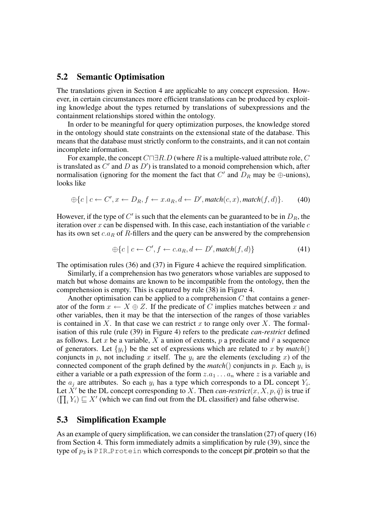#### **5.2 Semantic Optimisation**

The translations given in Section 4 are applicable to any concept expression. However, in certain circumstances more efficient translations can be produced by exploiting knowledge about the types returned by translations of subexpressions and the containment relationships stored within the ontology.

In order to be meaningful for query optimization purposes, the knowledge stored in the ontology should state constraints on the extensional state of the database. This means that the database must strictly conform to the constraints, and it can not contain incomplete information.

For example, the concept  $C \Box R.D$  (where R is a multiple-valued attribute role, C is translated as  $C'$  and  $D$  as  $D'$ ) is translated to a monoid comprehension which, after normalisation (ignoring for the moment the fact that  $C'$  and  $D_R$  may be  $\oplus$ -unions), looks like

$$
\oplus \{c \mid c \leftarrow C', x \leftarrow D_R, f \leftarrow x.a_R, d \leftarrow D', \text{match}(c, x), \text{match}(f, d)\}. \tag{40}
$$

However, if the type of  $C'$  is such that the elements can be guaranteed to be in  $D_R$ , the iteration over x can be dispensed with. In this case, each instantiation of the variable  $c$ has its own set  $c.a_R$  of R-fillers and the query can be answered by the comprehension

$$
\bigoplus \{c \mid c \leftarrow C', f \leftarrow c.a_R, d \leftarrow D', match(f, d)\}\tag{41}
$$

The optimisation rules (36) and (37) in Figure 4 achieve the required simplification.

Similarly, if a comprehension has two generators whose variables are supposed to match but whose domains are known to be incompatible from the ontology, then the comprehension is empty. This is captured by rule (38) in Figure 4.

Another optimisation can be applied to a comprehension  $C$  that contains a generator of the form  $x \leftarrow X \oplus Z$ . If the predicate of C implies matches between x and other variables, then it may be that the intersection of the ranges of those variables is contained in X. In that case we can restrict x to range only over X. The formalisation of this rule (rule (39) in Figure 4) refers to the predicate *can-restrict* defined as follows. Let x be a variable, X a union of extents, p a predicate and  $\bar{r}$  a sequence of generators. Let  $\{y_i\}$  be the set of expressions which are related to x by match() conjuncts in p, not including x itself. The  $y_i$  are the elements (excluding x) of the connected component of the graph defined by the  $match()$  conjuncts in p. Each  $y_i$  is either a variable or a path expression of the form  $z.a_1 \ldots a_n$  where z is a variable and the  $a_j$  are attributes. So each  $y_i$  has a type which corresponds to a DL concept  $Y_i$ . Let X' be the DL concept corresponding to X. Then *can-restrict*(x, X, p,  $\bar{q}$ ) is true if  $(\prod_i Y_i) \sqsubseteq X'$  (which we can find out from the DL classifier) and false otherwise.

#### **5.3 Simplification Example**

As an example of query simplification, we can consider the translation (27) of query (16) from Section 4. This form immediately admits a simplification by rule (39), since the type of  $p_3$  is PIR Protein which corresponds to the concept pir protein so that the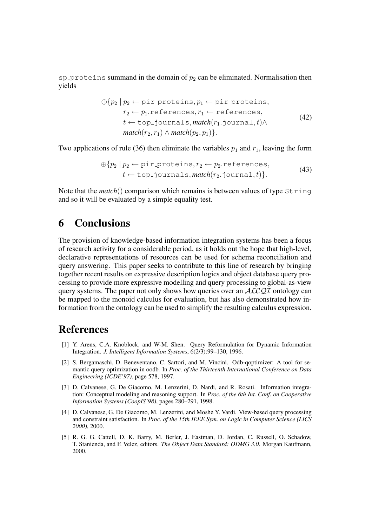sp proteins summand in the domain of  $p_2$  can be eliminated. Normalisation then yields

$$
\oplus \{p_2 \mid p_2 \leftarrow \text{pir-proteins}, p_1 \leftarrow \text{pir-proteins},
$$
\n
$$
r_2 \leftarrow p_1 \text{.references}, r_1 \leftarrow \text{references},
$$
\n
$$
t \leftarrow \text{top-journals}, \text{match}(r_1 \text{.journal}, t) \land \text{match}(r_2, r_1) \land \text{match}(p_2, p_1)\}.
$$
\n(42)

Two applications of rule (36) then eliminate the variables  $p_1$  and  $r_1$ , leaving the form

$$
\bigoplus \{p_2 \mid p_2 \leftarrow \text{pir-proteins}, r_2 \leftarrow p_2.\text{references},
$$
  

$$
t \leftarrow \text{top-journals}, \text{match}(r_2.\text{journal}, t)\}.
$$
 (43)

Note that the *match*() comparison which remains is between values of type String and so it will be evaluated by a simple equality test.

### **6 Conclusions**

The provision of knowledge-based information integration systems has been a focus of research activity for a considerable period, as it holds out the hope that high-level, declarative representations of resources can be used for schema reconciliation and query answering. This paper seeks to contribute to this line of research by bringing together recent results on expressive description logics and object database query processing to provide more expressive modelling and query processing to global-as-view query systems. The paper not only shows how queries over an  $ALCQI$  ontology can be mapped to the monoid calculus for evaluation, but has also demonstrated how information from the ontology can be used to simplify the resulting calculus expression.

### **References**

- [1] Y. Arens, C.A. Knoblock, and W-M. Shen. Query Reformulation for Dynamic Information Integration. *J. Intelligent Information Systems*, 6(2/3):99–130, 1996.
- [2] S. Bergamaschi, D. Beneventano, C. Sartori, and M. Vincini. Odb-qoptimizer: A tool for semantic query optimization in oodb. In *Proc. of the Thirteenth International Conference on Data Engineering (ICDE'97)*, page 578, 1997.
- [3] D. Calvanese, G. De Giacomo, M. Lenzerini, D. Nardi, and R. Rosati. Information integration: Conceptual modeling and reasoning support. In *Proc. of the 6th Int. Conf. on Cooperative Information Systems (CoopIS'98)*, pages 280–291, 1998.
- [4] D. Calvanese, G. De Giacomo, M. Lenzerini, and Moshe Y. Vardi. View-based query processing and constraint satisfaction. In *Proc. of the 15th IEEE Sym. on Logic in Computer Science (LICS 2000)*, 2000.
- [5] R. G. G. Cattell, D. K. Barry, M. Berler, J. Eastman, D. Jordan, C. Russell, O. Schadow, T. Stanienda, and F. Velez, editors. *The Object Data Standard: ODMG 3.0*. Morgan Kaufmann, 2000.